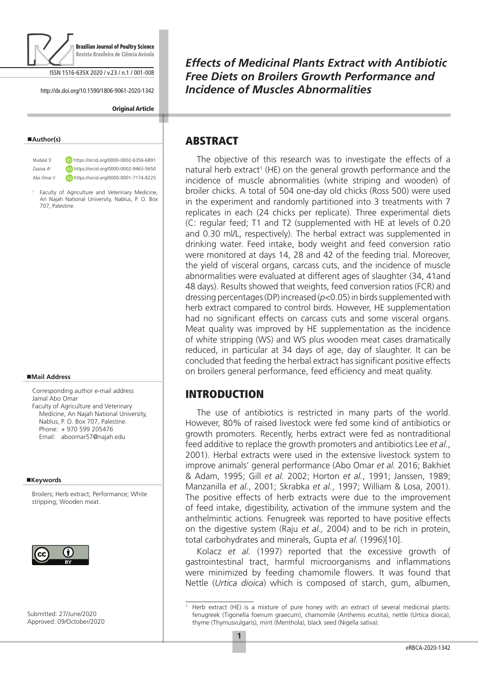

ISSN 1516-635X 2020 / v.23 / n.1 / 001-008

http://dx.doi.org/10.1590/1806-9061-2020-1342

#### **Original Article**

#### **Author(s)**

Mudalal S<sup>I</sup> https://orcid.org/0000-0002-6356-6891 Zaazaa AI https://orcid.org/0000-0002-9463-5650 Abo Omar J **CD** https://orcid.org/0000-0001-7174-8225

<sup>I</sup> Faculty of Agriculture and Veterinary Medicine, An Najah National University, Nablus, P. O. Box 707, Palestine.

#### **Mail Address**

Corresponding author e-mail address Jamal Abo Omar Faculty of Agriculture and Veterinary Medicine, An Najah National University, Nablus, P. O. Box 707, Palestine. Phone: + 970 599 205476 Email: aboomar57@najah.edu

#### **Keywords**

Broilers; Herb extract; Performance; White stripping; Wooden meat.



Submitted: 27/June/2020 Approved: 09/October/2020 *Effects of Medicinal Plants Extract with Antibiotic Free Diets on Broilers Growth Performance and Incidence of Muscles Abnormalities*

## ABSTRACT

The objective of this research was to investigate the effects of a natural herb extract<sup>1</sup> (HE) on the general growth performance and the incidence of muscle abnormalities (white striping and wooden) of broiler chicks. A total of 504 one-day old chicks (Ross 500) were used in the experiment and randomly partitioned into 3 treatments with 7 replicates in each (24 chicks per replicate). Three experimental diets (C: regular feed; T1 and T2 (supplemented with HE at levels of 0.20 and 0.30 ml/L, respectively). The herbal extract was supplemented in drinking water. Feed intake, body weight and feed conversion ratio were monitored at days 14, 28 and 42 of the feeding trial. Moreover, the yield of visceral organs, carcass cuts, and the incidence of muscle abnormalities were evaluated at different ages of slaughter (34, 41and 48 days). Results showed that weights, feed conversion ratios (FCR) and dressing percentages (DP) increased (*p<*0.05) in birds supplemented with herb extract compared to control birds. However, HE supplementation had no significant effects on carcass cuts and some visceral organs. Meat quality was improved by HE supplementation as the incidence of white stripping (WS) and WS plus wooden meat cases dramatically reduced, in particular at 34 days of age, day of slaughter. It can be concluded that feeding the herbal extract has significant positive effects on broilers general performance, feed efficiency and meat quality.

# INTRODUCTION

The use of antibiotics is restricted in many parts of the world. However, 80% of raised livestock were fed some kind of antibiotics or growth promoters. Recently, herbs extract were fed as nontraditional feed additive to replace the growth promoters and antibiotics Lee *et al.*, 2001). Herbal extracts were used in the extensive livestock system to improve animals' general performance (Abo Omar *et al.* 2016; Bakhiet & Adam, 1995; Gill *et al.* 2002; Horton *et al.*, 1991; Janssen, 1989; Manzanilla *et al.*, 2001; Skrabka *et al.*, 1997; William & Losa, 2001). The positive effects of herb extracts were due to the improvement of feed intake, digestibility, activation of the immune system and the anthelmintic actions. Fenugreek was reported to have positive effects on the digestive system (Raju *et al.,* 2004) and to be rich in protein, total carbohydrates and minerals, Gupta *et al.* (1996)[10].

Kolacz *et al.* (1997) reported that the excessive growth of gastrointestinal tract, harmful microorganisms and inflammations were minimized by feeding chamomile flowers. It was found that Nettle (*Urtica dioica*) which is composed of starch, gum, albumen,

<sup>1</sup> Herb extract (HE) is a mixture of pure honey with an extract of several medicinal plants: fenugreek (Tigonella foenum graecum), chamomile (Anthemis ecutita), nettle (Urtica dioica), thyme (Thymusvulgaris), mint (Menthola), black seed (Nigella sativa).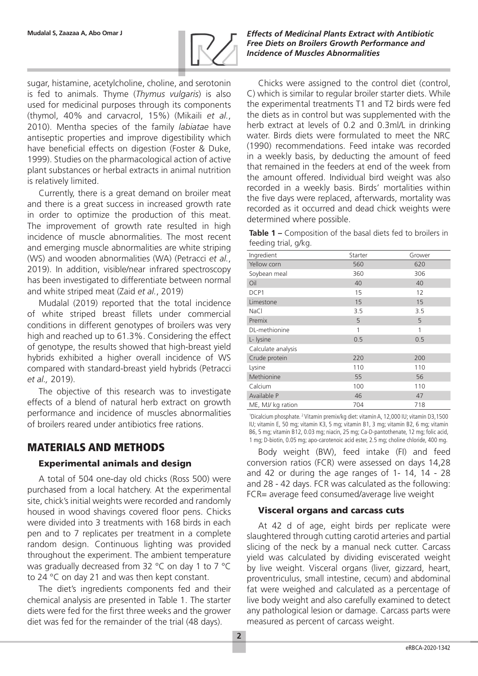

sugar, histamine, acetylcholine, choline, and serotonin is fed to animals. Thyme (*Thymus vulgaris*) is also used for medicinal purposes through its components (thymol, 40% and carvacrol, 15%) (Mikaili *et al.*, 2010). Mentha species of the family *labiatae* have antiseptic properties and improve digestibility which have beneficial effects on digestion (Foster & Duke, 1999). Studies on the pharmacological action of active plant substances or herbal extracts in animal nutrition is relatively limited.

Currently, there is a great demand on broiler meat and there is a great success in increased growth rate in order to optimize the production of this meat. The improvement of growth rate resulted in high incidence of muscle abnormalities. The most recent and emerging muscle abnormalities are white striping (WS) and wooden abnormalities (WA) (Petracci *et al.*, 2019). In addition, visible/near infrared spectroscopy has been investigated to differentiate between normal and white striped meat (Zaid *et al.*, 2019)

Mudalal (2019) reported that the total incidence of white striped breast fillets under commercial conditions in different genotypes of broilers was very high and reached up to 61.3%. Considering the effect of genotype, the results showed that high-breast yield hybrids exhibited a higher overall incidence of WS compared with standard-breast yield hybrids (Petracci *et al.,* 2019).

The objective of this research was to investigate effects of a blend of natural herb extract on growth performance and incidence of muscles abnormalities of broilers reared under antibiotics free rations.

# MATERIALS AND METHODS

## Experimental animals and design

A total of 504 one-day old chicks (Ross 500) were purchased from a local hatchery. At the experimental site, chick's initial weights were recorded and randomly housed in wood shavings covered floor pens. Chicks were divided into 3 treatments with 168 birds in each pen and to 7 replicates per treatment in a complete random design. Continuous lighting was provided throughout the experiment. The ambient temperature was gradually decreased from 32 °C on day 1 to 7 °C to 24 °C on day 21 and was then kept constant.

The diet's ingredients components fed and their chemical analysis are presented in Table 1. The starter diets were fed for the first three weeks and the grower diet was fed for the remainder of the trial (48 days).

**Mudalal S, Zaazaa A, Abo Omar J** *Effects of Medicinal Plants Extract with Antibiotic Free Diets on Broilers Growth Performance and Incidence of Muscles Abnormalities*

> Chicks were assigned to the control diet (control, C) which is similar to regular broiler starter diets. While the experimental treatments T1 and T2 birds were fed the diets as in control but was supplemented with the herb extract at levels of 0.2 and 0.3ml/L in drinking water. Birds diets were formulated to meet the NRC (1990) recommendations. Feed intake was recorded in a weekly basis, by deducting the amount of feed that remained in the feeders at end of the week from the amount offered. Individual bird weight was also recorded in a weekly basis. Birds' mortalities within the five days were replaced, afterwards, mortality was recorded as it occurred and dead chick weights were determined where possible.

**Table 1 –** Composition of the basal diets fed to broilers in feeding trial, g/kg.

| Ingredient         | Starter | Grower |
|--------------------|---------|--------|
| Yellow corn        | 560     | 620    |
| Soybean meal       | 360     | 306    |
| Oil                | 40      | 40     |
| DCP1               | 15      | 12     |
| Limestone          | 15      | 15     |
| <b>NaCl</b>        | 3.5     | 3.5    |
| Premix             | 5       | 5      |
| DL-methionine      | 1       | 1      |
| L- lysine          | 0.5     | 0.5    |
| Calculate analysis |         |        |
| Crude protein      | 220     | 200    |
| Lysine             | 110     | 110    |
| Methionine         | 55      | 56     |
| Calcium            | 100     | 110    |
| Available P        | 46      | 47     |
| ME, MJ/ kg ration  | 704     | 718    |

1 Dicalcium phosphate. 2 Vitamin premix/kg diet: vitamin A, 12,000 IU; vitamin D3,1500 IU; vitamin E, 50 mg; vitamin K3, 5 mg; vitamin B1, 3 mg; vitamin B2, 6 mg; vitamin B6, 5 mg; vitamin B12, 0.03 mg; niacin, 25 mg; Ca-D-pantothenate, 12 mg; folic acid, 1 mg; D-biotin, 0.05 mg; apo-carotenoic acid ester, 2.5 mg; choline chloride, 400 mg.

Body weight (BW), feed intake (FI) and feed conversion ratios (FCR) were assessed on days 14,28 and 42 or during the age ranges of 1- 14, 14 - 28 and 28 - 42 days. FCR was calculated as the following: FCR= average feed consumed/average live weight

#### Visceral organs and carcass cuts

At 42 d of age, eight birds per replicate were slaughtered through cutting carotid arteries and partial slicing of the neck by a manual neck cutter. Carcass yield was calculated by dividing eviscerated weight by live weight. Visceral organs (liver, gizzard, heart, proventriculus, small intestine, cecum) and abdominal fat were weighed and calculated as a percentage of live body weight and also carefully examined to detect any pathological lesion or damage. Carcass parts were measured as percent of carcass weight.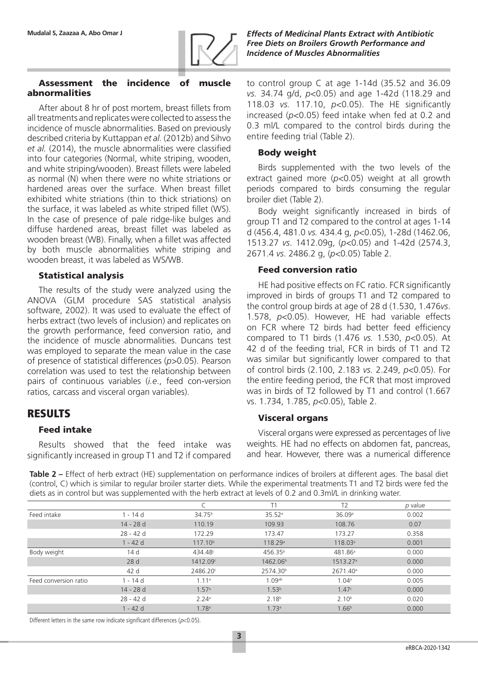

### Assessment the incidence of muscle abnormalities

After about 8 hr of post mortem, breast fillets from all treatments and replicates were collected to assess the incidence of muscle abnormalities. Based on previously described criteria by Kuttappan *et al.* (2012b) and Sihvo *et al.* (2014), the muscle abnormalities were classified into four categories (Normal, white striping, wooden, and white striping/wooden). Breast fillets were labeled as normal (N) when there were no white striations or hardened areas over the surface. When breast fillet exhibited white striations (thin to thick striations) on the surface, it was labeled as white striped fillet (WS). In the case of presence of pale ridge-like bulges and diffuse hardened areas, breast fillet was labeled as wooden breast (WB). Finally, when a fillet was affected by both muscle abnormalities white striping and wooden breast, it was labeled as WS/WB.

#### Statistical analysis

The results of the study were analyzed using the ANOVA (GLM procedure SAS statistical analysis software, 2002). It was used to evaluate the effect of herbs extract (two levels of inclusion) and replicates on the growth performance, feed conversion ratio, and the incidence of muscle abnormalities. Duncans test was employed to separate the mean value in the case of presence of statistical differences (*p>*0.05). Pearson correlation was used to test the relationship between pairs of continuous variables (*i.e*., feed con-version ratios, carcass and visceral organ variables).

## RESULTS

#### Feed intake

Results showed that the feed intake was significantly increased in group T1 and T2 if compared

**Mudalal S, Zaazaa A, Abo Omar J** *Effects of Medicinal Plants Extract with Antibiotic Free Diets on Broilers Growth Performance and Incidence of Muscles Abnormalities*

> to control group C at age 1-14d (35.52 and 36.09 *vs.* 34.74 g/d, *p<*0.05) and age 1-42d (118.29 and 118.03 *vs.* 117.10, *p<*0.05). The HE significantly increased (*p<*0.05) feed intake when fed at 0.2 and 0.3 ml/L compared to the control birds during the entire feeding trial (Table 2).

#### Body weight

Birds supplemented with the two levels of the extract gained more (*p<*0.05) weight at all growth periods compared to birds consuming the regular broiler diet (Table 2).

Body weight significantly increased in birds of group T1 and T2 compared to the control at ages 1-14 d (456.4, 481.0 *vs.* 434.4 g, *p<*0.05), 1-28d (1462.06, 1513.27 *vs*. 1412.09g, (*p<*0.05) and 1-42d (2574.3, 2671.4 *vs*. 2486.2 g, (*p<*0.05) Table 2.

#### Feed conversion ratio

HE had positive effects on FC ratio. FCR significantly improved in birds of groups T1 and T2 compared to the control group birds at age of 28 d (1.530, 1.476*vs*. 1.578, *p<*0.05). However, HE had variable effects on FCR where T2 birds had better feed efficiency compared to T1 birds (1.476 *vs.* 1.530, *p<*0.05). At 42 d of the feeding trial, FCR in birds of T1 and T2 was similar but significantly lower compared to that of control birds (2.100, 2.183 *vs.* 2.249, *p<*0.05). For the entire feeding period, the FCR that most improved was in birds of T2 followed by T1 and control (1.667 vs. 1.734, 1.785, *p<*0.05), Table 2.

#### Visceral organs

Visceral organs were expressed as percentages of live weights. HE had no effects on abdomen fat, pancreas, and hear. However, there was a numerical difference

**Table 2 –** Effect of herb extract (HE) supplementation on performance indices of broilers at different ages. The basal diet (control, C) which is similar to regular broiler starter diets. While the experimental treatments T1 and T2 birds were fed the diets as in control but was supplemented with the herb extract at levels of 0.2 and 0.3ml/L in drinking water.

|                       |            |                     | Τ1                   | T <sub>2</sub>       | p value |
|-----------------------|------------|---------------------|----------------------|----------------------|---------|
| Feed intake           | 1 - 14 d   | 34.75 <sup>b</sup>  | 35.52a               | 36.09a               | 0.002   |
|                       | 14 - 28 d  | 110.19              | 109.93               | 108.76               | 0.07    |
|                       | 28 - 42 d  | 172.29              | 173.47               | 173.27               | 0.358   |
|                       | $1 - 42$ d | 117.10 <sup>b</sup> | 118.29a              | 118.03 <sup>a</sup>  | 0.001   |
| Body weight           | 14 d       | 434.48 <sup>c</sup> | 456.35 <sup>b</sup>  | 481.86 <sup>a</sup>  | 0.000   |
|                       | 28 d       | 1412.09c            | 1462.06 <sup>b</sup> | 1513.27a             | 0.000   |
|                       | 42 d       | 2486.20c            | 2574.30 <sup>b</sup> | 2671.40 <sup>a</sup> | 0.000   |
| Feed conversion ratio | 1 - 14 d   | 1.11a               | 1.09 <sup>ab</sup>   | 1.04 <sup>a</sup>    | 0.005   |
|                       | 14 - 28 d  | 1.57a               | 1.53 <sup>b</sup>    | 1.47c                | 0.000   |
|                       | 28 - 42 d  | 2.24a               | 2.18 <sup>b</sup>    | 2.10 <sup>b</sup>    | 0.020   |
|                       | $1 - 42$ d | 1.78 <sup>a</sup>   | 1.73a                | 1.66 <sup>b</sup>    | 0.000   |

Different letters in the same row indicate significant differences ( $p$ <0.05).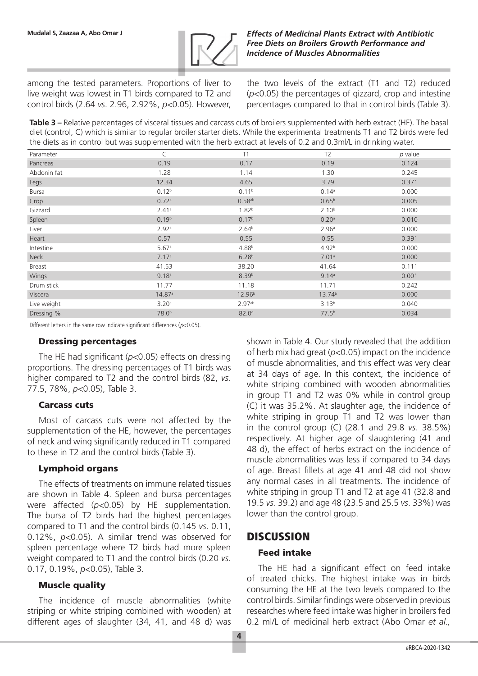

among the tested parameters. Proportions of liver to live weight was lowest in T1 birds compared to T2 and control birds (2.64 *vs*. 2.96, 2.92%, *p<*0.05). However, the two levels of the extract (T1 and T2) reduced (*p<*0.05) the percentages of gizzard, crop and intestine percentages compared to that in control birds (Table 3).

**Table 3 –** Relative percentages of visceral tissues and carcass cuts of broilers supplemented with herb extract (HE). The basal diet (control, C) which is similar to regular broiler starter diets. While the experimental treatments T1 and T2 birds were fed the diets as in control but was supplemented with the herb extract at levels of 0.2 and 0.3ml/L in drinking water.

| Parameter    |                   | T1                   | T <sub>2</sub>     | p value |
|--------------|-------------------|----------------------|--------------------|---------|
| Pancreas     | 0.19              | 0.17                 | 0.19               | 0.124   |
| Abdonin fat  | 1.28              | 1.14                 | 1.30               | 0.245   |
| Legs         | 12.34             | 4.65                 | 3.79               | 0.371   |
| <b>Bursa</b> | 0.12 <sup>b</sup> | 0.11 <sup>b</sup>    | $0.14^{a}$         | 0.000   |
| Crop         | 0.72a             | $0.58$ <sup>ab</sup> | 0.65 <sup>b</sup>  | 0.005   |
| Gizzard      | 2.41a             | 1.82 <sup>b</sup>    | 2.10 <sup>b</sup>  | 0.000   |
| Spleen       | 0.19 <sup>b</sup> | 0.17 <sup>b</sup>    | 0.20a              | 0.010   |
| Liver        | 2.92a             | 2.64 <sup>b</sup>    | 2.96a              | 0.000   |
| Heart        | 0.57              | 0.55                 | 0.55               | 0.391   |
| Intestine    | 5.67a             | 4.88 <sup>b</sup>    | 4.92 <sup>b</sup>  | 0.000   |
| <b>Neck</b>  | 7.17a             | 6.28 <sup>b</sup>    | 7.01a              | 0.000   |
| Breast       | 41.53             | 38.20                | 41.64              | 0.111   |
| Wings        | 9.18 <sup>a</sup> | 8.39 <sup>b</sup>    | 9.14a              | 0.001   |
| Drum stick   | 11.77             | 11.18                | 11.71              | 0.242   |
| Viscera      | 14.87a            | 12.96 <sup>b</sup>   | 13.74 <sup>b</sup> | 0.000   |
| Live weight  | 3.20a             | 2.97 <sup>ab</sup>   | 3.13 <sup>b</sup>  | 0.040   |
| Dressing %   | 78.0 <sup>b</sup> | 82.0 <sup>a</sup>    | 77.5 <sup>b</sup>  | 0.034   |

Different letters in the same row indicate significant differences ( $p$ <0.05).

#### Dressing percentages

The HE had significant (*p<*0.05) effects on dressing proportions. The dressing percentages of T1 birds was higher compared to T2 and the control birds (82, *vs*. 77.5, 78%, *p<*0.05), Table 3.

#### Carcass cuts

Most of carcass cuts were not affected by the supplementation of the HE, however, the percentages of neck and wing significantly reduced in T1 compared to these in T2 and the control birds (Table 3).

### Lymphoid organs

The effects of treatments on immune related tissues are shown in Table 4. Spleen and bursa percentages were affected (*p<*0.05) by HE supplementation. The bursa of T2 birds had the highest percentages compared to T1 and the control birds (0.145 *vs*. 0.11, 0.12%, *p<*0.05). A similar trend was observed for spleen percentage where T2 birds had more spleen weight compared to T1 and the control birds (0.20 *vs*. 0.17, 0.19%, *p<*0.05), Table 3.

### Muscle quality

The incidence of muscle abnormalities (white striping or white striping combined with wooden) at different ages of slaughter (34, 41, and 48 d) was shown in Table 4. Our study revealed that the addition of herb mix had great (*p<*0.05) impact on the incidence of muscle abnormalities, and this effect was very clear at 34 days of age. In this context, the incidence of white striping combined with wooden abnormalities in group T1 and T2 was 0% while in control group (C) it was 35.2%. At slaughter age, the incidence of white striping in group T1 and T2 was lower than in the control group (C) (28.1 and 29.8 *vs*. 38.5%) respectively. At higher age of slaughtering (41 and 48 d), the effect of herbs extract on the incidence of muscle abnormalities was less if compared to 34 days of age. Breast fillets at age 41 and 48 did not show any normal cases in all treatments. The incidence of white striping in group T1 and T2 at age 41 (32.8 and 19.5 *vs.* 39.2) and age 48 (23.5 and 25.5 *vs*. 33%) was lower than the control group.

## **DISCUSSION**

#### Feed intake

The HE had a significant effect on feed intake of treated chicks. The highest intake was in birds consuming the HE at the two levels compared to the control birds. Similar findings were observed in previous researches where feed intake was higher in broilers fed 0.2 ml/L of medicinal herb extract (Abo Omar *et al.,*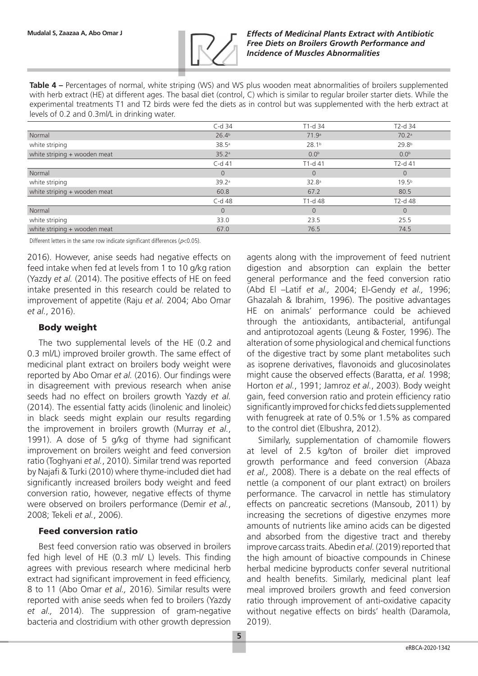

**Table 4 –** Percentages of normal, white striping (WS) and WS plus wooden meat abnormalities of broilers supplemented with herb extract (HE) at different ages. The basal diet (control, C) which is similar to regular broiler starter diets. While the experimental treatments T1 and T2 birds were fed the diets as in control but was supplemented with the herb extract at levels of 0.2 and 0.3ml/L in drinking water.

|                              | $C-d$ 34          | T1-d 34           | T2-d 34           |
|------------------------------|-------------------|-------------------|-------------------|
| Normal                       | 26.4 <sup>b</sup> | 71.9 <sup>a</sup> | 70.2 <sup>a</sup> |
| white striping               | 38.5a             | 28.1 <sup>b</sup> | 29.8 <sup>b</sup> |
| white striping + wooden meat | 35.2a             | 0.0 <sup>b</sup>  | 0.0 <sup>b</sup>  |
|                              | $C-d$ 41          | $T1-d41$          | $T2-d41$          |
| Normal                       | $\overline{0}$    | $\overline{0}$    | $\Omega$          |
| white striping               | 39.2a             | 32.8 <sup>a</sup> | 19.5 <sup>b</sup> |
| white striping + wooden meat | 60.8              | 67.2              | 80.5              |
|                              | C-d 48            | T1-d 48           | T2-d 48           |
| Normal                       | $\overline{0}$    | $\Omega$          | $\Omega$          |
| white striping               | 33.0              | 23.5              | 25.5              |
| white striping + wooden meat | 67.0              | 76.5              | 74.5              |

Different letters in the same row indicate significant differences ( $p$ <0.05).

2016). However, anise seeds had negative effects on feed intake when fed at levels from 1 to 10 g/kg ration (Yazdy *et al.* (2014). The positive effects of HE on feed intake presented in this research could be related to improvement of appetite (Raju *et al.* 2004; Abo Omar *et al.*, 2016).

### Body weight

The two supplemental levels of the HE (0.2 and 0.3 ml/L) improved broiler growth. The same effect of medicinal plant extract on broilers body weight were reported by Abo Omar *et al.* (2016). Our findings were in disagreement with previous research when anise seeds had no effect on broilers growth Yazdy *et al.* (2014). The essential fatty acids (linolenic and linoleic) in black seeds might explain our results regarding the improvement in broilers growth (Murray *et al.*, 1991). A dose of 5 g/kg of thyme had significant improvement on broilers weight and feed conversion ratio (Toghyani *et al.*, 2010). Similar trend was reported by Najafi & Turki (2010) where thyme-included diet had significantly increased broilers body weight and feed conversion ratio, however, negative effects of thyme were observed on broilers performance (Demir *et al.*, 2008; Tekeli *et al.*, 2006).

### Feed conversion ratio

Best feed conversion ratio was observed in broilers fed high level of HE (0.3 ml/ L) levels. This finding agrees with previous research where medicinal herb extract had significant improvement in feed efficiency, 8 to 11 (Abo Omar *et al.,* 2016). Similar results were reported with anise seeds when fed to broilers (Yazdy *et al.,* 2014). The suppression of gram-negative bacteria and clostridium with other growth depression

agents along with the improvement of feed nutrient digestion and absorption can explain the better general performance and the feed conversion ratio (Abd El –Latif *et al.,* 2004; El-Gendy *et al.,* 1996; Ghazalah & Ibrahim, 1996). The positive advantages HE on animals' performance could be achieved through the antioxidants, antibacterial, antifungal and antiprotozoal agents (Leung & Foster, 1996). The alteration of some physiological and chemical functions of the digestive tract by some plant metabolites such as isoprene derivatives, flavonoids and glucosinolates might cause the observed effects (Baratta, *et al.* 1998; Horton *et al.*, 1991; Jamroz *et al.*, 2003). Body weight gain, feed conversion ratio and protein efficiency ratio significantly improved for chicks fed diets supplemented with fenugreek at rate of 0.5% or 1.5% as compared to the control diet (Elbushra, 2012).

Similarly, supplementation of chamomile flowers at level of 2.5 kg/ton of broiler diet improved growth performance and feed conversion (Abaza *et al.,* 2008). There is a debate on the real effects of nettle (a component of our plant extract) on broilers performance. The carvacrol in nettle has stimulatory effects on pancreatic secretions (Mansoub, 2011) by increasing the secretions of digestive enzymes more amounts of nutrients like amino acids can be digested and absorbed from the digestive tract and thereby improve carcass traits. Abedin *et al.* (2019) reported that the high amount of bioactive compounds in Chinese herbal medicine byproducts confer several nutritional and health benefits. Similarly, medicinal plant leaf meal improved broilers growth and feed conversion ratio through improvement of anti-oxidative capacity without negative effects on birds' health (Daramola, 2019).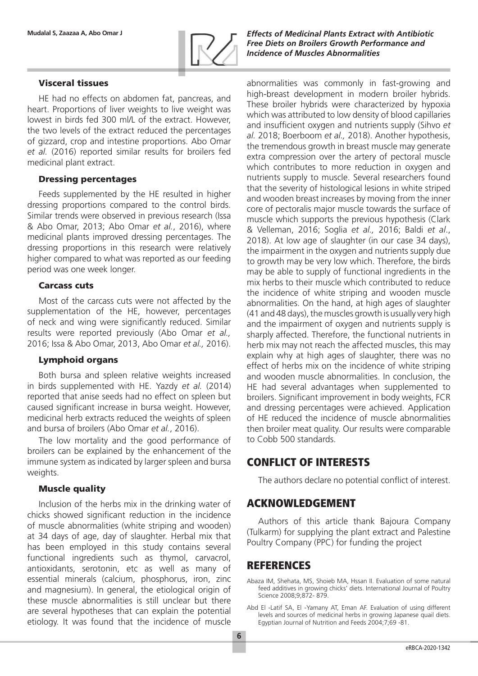

### Visceral tissues

HE had no effects on abdomen fat, pancreas, and heart. Proportions of liver weights to live weight was lowest in birds fed 300 ml/L of the extract. However, the two levels of the extract reduced the percentages of gizzard, crop and intestine proportions. Abo Omar *et al.* (2016) reported similar results for broilers fed medicinal plant extract.

#### Dressing percentages

Feeds supplemented by the HE resulted in higher dressing proportions compared to the control birds. Similar trends were observed in previous research (Issa & Abo Omar, 2013; Abo Omar *et al.*, 2016), where medicinal plants improved dressing percentages. The dressing proportions in this research were relatively higher compared to what was reported as our feeding period was one week longer.

#### Carcass cuts

Most of the carcass cuts were not affected by the supplementation of the HE, however, percentages of neck and wing were significantly reduced. Similar results were reported previously (Abo Omar *et al.,* 2016; Issa & Abo Omar, 2013, Abo Omar *et al.,* 2016).

#### Lymphoid organs

Both bursa and spleen relative weights increased in birds supplemented with HE. Yazdy *et al.* (2014) reported that anise seeds had no effect on spleen but caused significant increase in bursa weight. However, medicinal herb extracts reduced the weights of spleen and bursa of broilers (Abo Omar *et al.*, 2016).

The low mortality and the good performance of broilers can be explained by the enhancement of the immune system as indicated by larger spleen and bursa weights.

#### **Muscle quality**

Inclusion of the herbs mix in the drinking water of chicks showed significant reduction in the incidence of muscle abnormalities (white striping and wooden) at 34 days of age, day of slaughter. Herbal mix that has been employed in this study contains several functional ingredients such as thymol, carvacrol, antioxidants, serotonin, etc as well as many of essential minerals (calcium, phosphorus, iron, zinc and magnesium). In general, the etiological origin of these muscle abnormalities is still unclear but there are several hypotheses that can explain the potential etiology. It was found that the incidence of muscle

**Mudalal S, Zaazaa A, Abo Omar J** *Effects of Medicinal Plants Extract with Antibiotic Free Diets on Broilers Growth Performance and Incidence of Muscles Abnormalities*

> abnormalities was commonly in fast‐growing and high-breast development in modern broiler hybrids. These broiler hybrids were characterized by hypoxia which was attributed to low density of blood capillaries and insufficient oxygen and nutrients supply (Sihvo *et al.* 2018; Boerboom *et al.,* 2018). Another hypothesis, the tremendous growth in breast muscle may generate extra compression over the artery of pectoral muscle which contributes to more reduction in oxygen and nutrients supply to muscle. Several researchers found that the severity of histological lesions in white striped and wooden breast increases by moving from the inner core of pectoralis major muscle towards the surface of muscle which supports the previous hypothesis (Clark & Velleman, 2016; Soglia *et al.,* 2016; Baldi *et al*., 2018). At low age of slaughter (in our case 34 days), the impairment in the oxygen and nutrients supply due to growth may be very low which. Therefore, the birds may be able to supply of functional ingredients in the mix herbs to their muscle which contributed to reduce the incidence of white striping and wooden muscle abnormalities. On the hand, at high ages of slaughter (41 and 48 days), the muscles growth is usually very high and the impairment of oxygen and nutrients supply is sharply affected. Therefore, the functional nutrients in herb mix may not reach the affected muscles, this may explain why at high ages of slaughter, there was no effect of herbs mix on the incidence of white striping and wooden muscle abnormalities. In conclusion, the HE had several advantages when supplemented to broilers. Significant improvement in body weights, FCR and dressing percentages were achieved. Application of HE reduced the incidence of muscle abnormalities then broiler meat quality. Our results were comparable to Cobb 500 standards.

# CONFLICT OF INTERESTS

The authors declare no potential conflict of interest.

## ACKNOWLEDGEMENT

Authors of this article thank Bajoura Company (Tulkarm) for supplying the plant extract and Palestine Poultry Company (PPC) for funding the project

## REFERENCES

Abaza IM, Shehata, MS, Shoieb MA, Hssan II. Evaluation of some natural feed additives in growing chicks' diets. International Journal of Poultry Science 2008;9:872- 879

Abd El -Latif SA, El -Yamany AT, Eman AF. Evaluation of using different levels and sources of medicinal herbs in growing Japanese quail diets. Egyptian Journal of Nutrition and Feeds 2004;7;69 -81.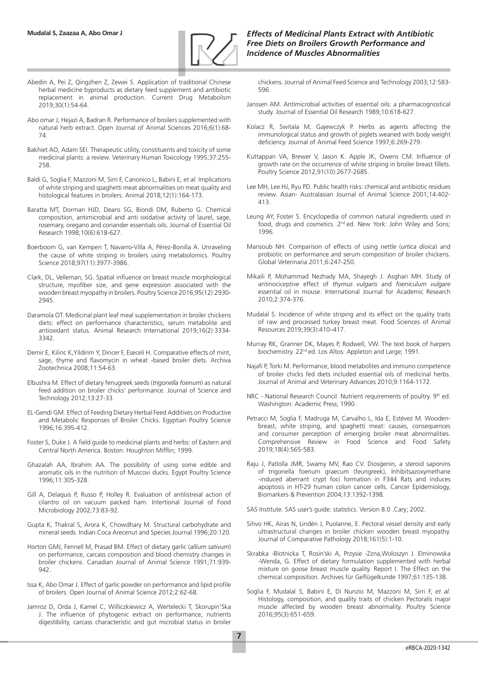

- Abedin A, Pei Z, Qingzhen Z, Zewei S. Application of traditional Chinese herbal medicine byproducts as dietary feed supplement and antibiotic replacement in animal production. Current Drug Metabolism 2019;30(1):54-64.
- Abo omar J, Hejazi A, Badran R. Performance of broilers supplemented with natural herb extract. Open Journal of Animal Sciences 2016;6(1):68- 74.
- Bakhiet AO, Adam SEI. Therapeutic utility, constituents and toxicity of some medicinal plants: a review. Veterinary Human Toxicology 1995;37:255- 258.
- Baldi G, Soglia F, Mazzoni M, Sirri F, Canonico L, Babini E, *et al.* Implications of white striping and spaghetti meat abnormalities on meat quality and histological features in broilers. Animal 2018;12(1):164-173.
- Baratta MT, Dorman HJD, Deans SG, Biondi DM, Ruberto G. Chemical composition, antimicrobial and anti oxidative activity of laurel, sage, rosemary, oregano and coriander essentials oils. Journal of Essential Oil Research 1998;10(6):618-627.
- Boerboom G, van Kempen T, Navarro‐Villa A, Pérez‐Bonilla A. Unraveling the cause of white striping in broilers using metabolomics. Poultry Science 2018;97(11):3977-3986.
- Clark, DL, Velleman, SG. Spatial influence on breast muscle morphological structure, myofiber size, and gene expression associated with the wooden breast myopathy in broilers. Poultry Science 2016;95(12):2930- 2945.
- Daramola OT. Medicinal plant leaf meal supplementation in broiler chickens diets: effect on performance characteristics, serum metabolite and antioxidant status. Animal Research International 2019;16(2):3334- 3342.
- Demir E, Kilinc K,Yildirim Y, Dincer F, Eseceli H. Comparative effects of mint, sage, thyme and flavomycin in wheat -based broiler diets. Archiva Zootechnica 2008;11:54-63.
- Elbushra M. Effect of dietary fenugreek seeds (*trigonella foenum*) as natural feed addition on broiler chicks' performance. Journal of Science and Technology 2012;13:27-33.
- EL-Gendi GM. Effect of Feeding Dietary Herbal Feed Additives on Productive and Metabolic Responses of Broiler Chicks. Egyptian Poultry Science 1996;16:395-412.
- Foster S, Duke J. A field guide to medicinal plants and herbs: of Eastern and Central North America. Boston: Houghton Mifflin; 1999.
- Ghazalah AA, Ibrahim AA. The possibility of using some edible and aromatic oils in the nutrition of Muscovi ducks. Egypt Poultry Science 1996;11:305-328.
- Gill A, Delaquis P, Russo P, Holley R. Evaluation of antilistreial action of cilantro oil on vacuum packed ham. Intertional Journal of Food Microbiology 2002;73:83-92.
- Gupta K, Thakral S, Arora K, Chowdhary M. Structural carbohydrate and mineral seeds. Indian Coca Arecenut and Species Journal 1996;20:120.
- Horton GMJ, Fennell M, Prasad BM. Effect of dietary garlic (*allium sativum*) on performance, carcass composition and blood chemistry changes in broiler chickens. Canadian Journal of Animal Science 1991;71:939- 942.
- Issa K, Abo Omar J. Effect of garlic powder on performance and lipid profile of broilers. Open Journal of Animal Science 2012;2:62-68.
- Jamroz D, Orda J, Kamel C, Williczkiewicz A, Wertelecki T, Skorupin'Ska J. The influence of phytogenic extract on performance, nutrients digestibility, carcass characteristic and gut microbial status in broiler

chickens. Journal of Animal Feed Science and Technology 2003;12:583- 596.

- Janssen AM. Antimicrobial activities of essential oils: a pharmacognostical study. Journal of Essential Oil Research 1989;10:618-627.
- Kolacz R, Switala M, Gajewczyk P. Herbs as agents affecting the immunological status and growth of piglets weaned with body weight deficiency. Journal of Animal Feed Science 1997;6:269-279.
- Kuttappan VA, Brewer V, Jason K. Apple JK, Owens CM. Influence of growth rate on the occurrence of white striping in broiler breast fillets. Poultry Science 2012;91(10):2677-2685.
- Lee MH, Lee HJ, Ryu PD. Public health risks: chemical and antibiotic residues review. Asian- Australasian Journal of Animal Science 2001;14:402- 413.
- Leung AY, Foster S. Encyclopedia of common natural ingredients used in food, drugs and cosmetics. 2<sup>nd</sup> ed. New York: John Wiley and Sons; 1996.
- Mansoub NH. Comparison of effects of using nettle (*urtica dioica*) and probiotic on performance and serum composition of broiler chickens. Global Veterinaria 2011;6:247-250.
- Mikaili P, Mohammad Nezhady MA, Shayegh J. Asghari MH. Study of antinociceptive effect of *thymus vulgaris* and *foeniculum vulgare* essential oil in mouse. International Journal for Academic Research 2010;2:374-376.
- Mudalal S. Incidence of white striping and its effect on the quality traits of raw and processed turkey breast meat. Food Sciences of Animal Resources 2019;39(3):410–417.
- Murray RK, Granner DK, Mayes P, Rodwell, VW. The text book of harpers biochemistry. 22<sup>nd</sup> ed. Los Altos: Appleton and Large; 1991.
- Najafi P, Torki M. Performance, blood metabolites and immuno competence of broiler chicks fed diets included essential oils of medicinal herbs. Journal of Animal and Veterinary Advances 2010;9:1164-1172.
- NRC National Research Council. Nutrient requirements of poultry. 9th ed. Washington: Academic Press; 1990.
- Petracci M, Soglia F, Madruga M, Carvalho L, Ida E, Estévez M. Wooden‐ breast, white striping, and spaghetti meat: causes, consequences and consumer perception of emerging broiler meat abnormalities. Comprehensive Review in Food Science and Food Safety 2019;18(4):565-583.
- Raju J, Patlolla JMR, Swamy MV, Rao CV. Diosgenin, a steroid saponins of trigonella foenum graecum (feungreek), Inhibitsazoxymethane -induced aberrant crypt foci formation in F344 Rats and induces apoptosis in HT-29 human colon cancer cells. Cancer Epidemiology, Biomarkers & Prevention 2004;13:1392-1398.

SAS Institute. SAS user's guide: statistics. Version 8.0 .Cary; 2002.

- Sihvo HK, Airas N, Lindén J, Puolanne, E. Pectoral vessel density and early ultrastructural changes in broiler chicken wooden breast myopathy. Journal of Comparative Pathology 2018;161(5):1-10.
- Skrabka -Blotnicka T, Rosin'ski A, Przysie -Zzna,Woloszyn J. Elminowska -Wenda, G. Effect of dietary formulation supplemented with herbal mixture on goose breast muscle quality. Report I. The Effect on the chemical composition. Archives für Geflügelkunde 1997;61:135-138.
- Soglia F, Mudalal S, Babini E, Di Nunzio M, Mazzoni M, Sirri F, *et al.* Histology, composition, and quality traits of chicken Pectoralis major muscle affected by wooden breast abnormality. Poultry Science 2016;95(3):651-659.